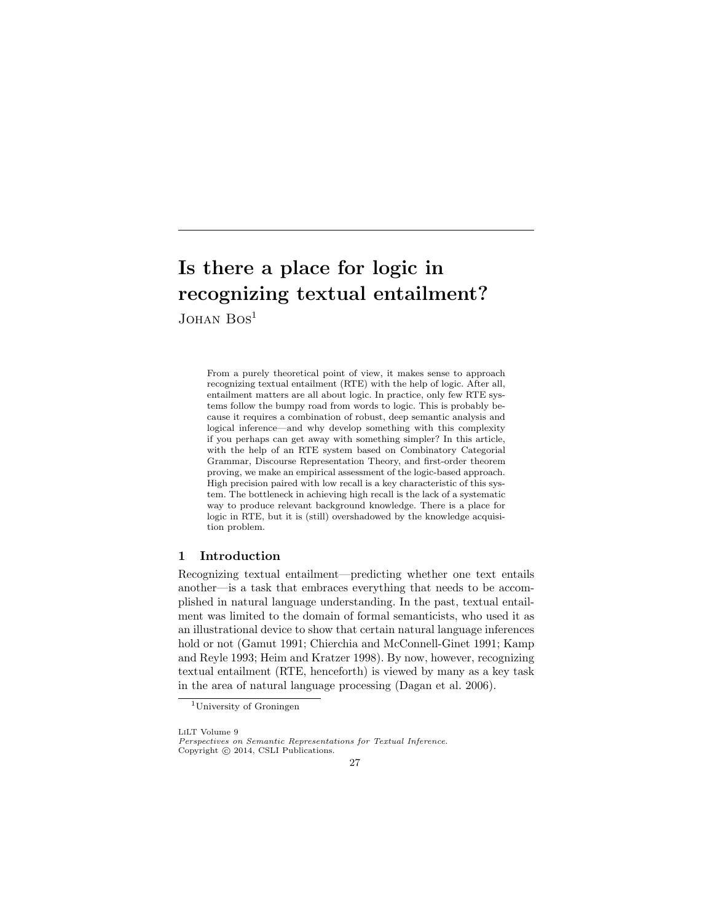# Is there a place for logic in recognizing textual entailment? JOHAN BOS<sup>1</sup>

From a purely theoretical point of view, it makes sense to approach recognizing textual entailment (RTE) with the help of logic. After all, entailment matters are all about logic. In practice, only few RTE systems follow the bumpy road from words to logic. This is probably because it requires a combination of robust, deep semantic analysis and logical inference—and why develop something with this complexity if you perhaps can get away with something simpler? In this article, with the help of an RTE system based on Combinatory Categorial Grammar, Discourse Representation Theory, and first-order theorem proving, we make an empirical assessment of the logic-based approach. High precision paired with low recall is a key characteristic of this system. The bottleneck in achieving high recall is the lack of a systematic way to produce relevant background knowledge. There is a place for logic in RTE, but it is (still) overshadowed by the knowledge acquisition problem.

## 1 Introduction

Recognizing textual entailment—predicting whether one text entails another—is a task that embraces everything that needs to be accomplished in natural language understanding. In the past, textual entailment was limited to the domain of formal semanticists, who used it as an illustrational device to show that certain natural language inferences hold or not (Gamut 1991; Chierchia and McConnell-Ginet 1991; Kamp and Reyle 1993; Heim and Kratzer 1998). By now, however, recognizing textual entailment (RTE, henceforth) is viewed by many as a key task in the area of natural language processing (Dagan et al. 2006).

LiLT Volume 9

*Perspectives on Semantic Representations for Textual Inference*. Copyright  $\odot$  2014, CSLI Publications.

<sup>1</sup>University of Groningen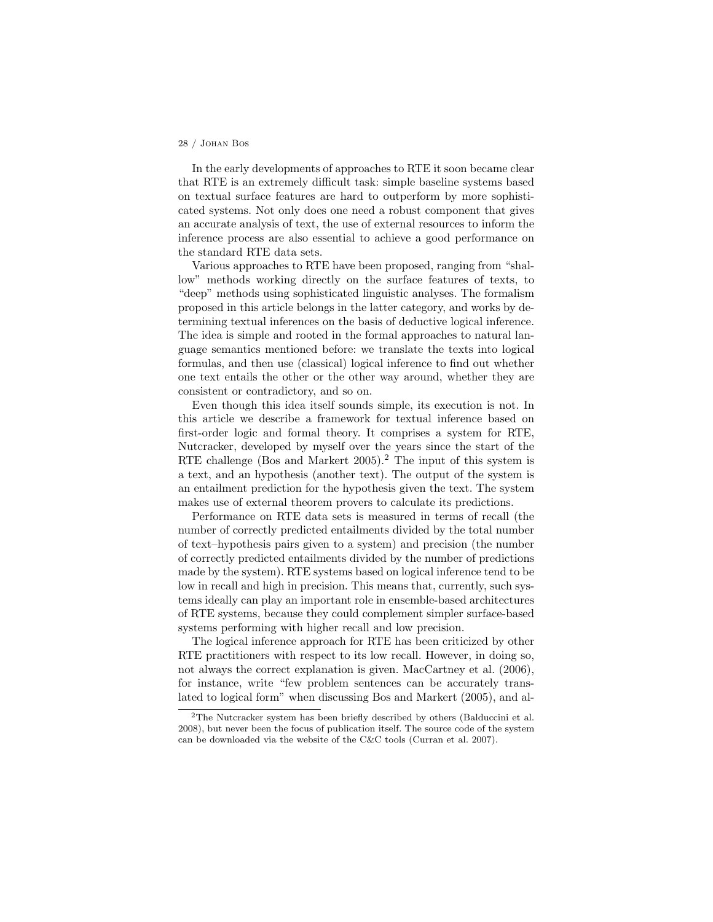In the early developments of approaches to RTE it soon became clear that RTE is an extremely difficult task: simple baseline systems based on textual surface features are hard to outperform by more sophisticated systems. Not only does one need a robust component that gives an accurate analysis of text, the use of external resources to inform the inference process are also essential to achieve a good performance on the standard RTE data sets.

Various approaches to RTE have been proposed, ranging from "shallow" methods working directly on the surface features of texts, to "deep" methods using sophisticated linguistic analyses. The formalism proposed in this article belongs in the latter category, and works by determining textual inferences on the basis of deductive logical inference. The idea is simple and rooted in the formal approaches to natural language semantics mentioned before: we translate the texts into logical formulas, and then use (classical) logical inference to find out whether one text entails the other or the other way around, whether they are consistent or contradictory, and so on.

Even though this idea itself sounds simple, its execution is not. In this article we describe a framework for textual inference based on first-order logic and formal theory. It comprises a system for RTE, Nutcracker, developed by myself over the years since the start of the RTE challenge (Bos and Markert  $2005$ ).<sup>2</sup> The input of this system is a text, and an hypothesis (another text). The output of the system is an entailment prediction for the hypothesis given the text. The system makes use of external theorem provers to calculate its predictions.

Performance on RTE data sets is measured in terms of recall (the number of correctly predicted entailments divided by the total number of text–hypothesis pairs given to a system) and precision (the number of correctly predicted entailments divided by the number of predictions made by the system). RTE systems based on logical inference tend to be low in recall and high in precision. This means that, currently, such systems ideally can play an important role in ensemble-based architectures of RTE systems, because they could complement simpler surface-based systems performing with higher recall and low precision.

The logical inference approach for RTE has been criticized by other RTE practitioners with respect to its low recall. However, in doing so, not always the correct explanation is given. MacCartney et al. (2006), for instance, write "few problem sentences can be accurately translated to logical form" when discussing Bos and Markert (2005), and al-

<sup>2</sup>The Nutcracker system has been briefly described by others (Balduccini et al. 2008), but never been the focus of publication itself. The source code of the system can be downloaded via the website of the C&C tools (Curran et al. 2007).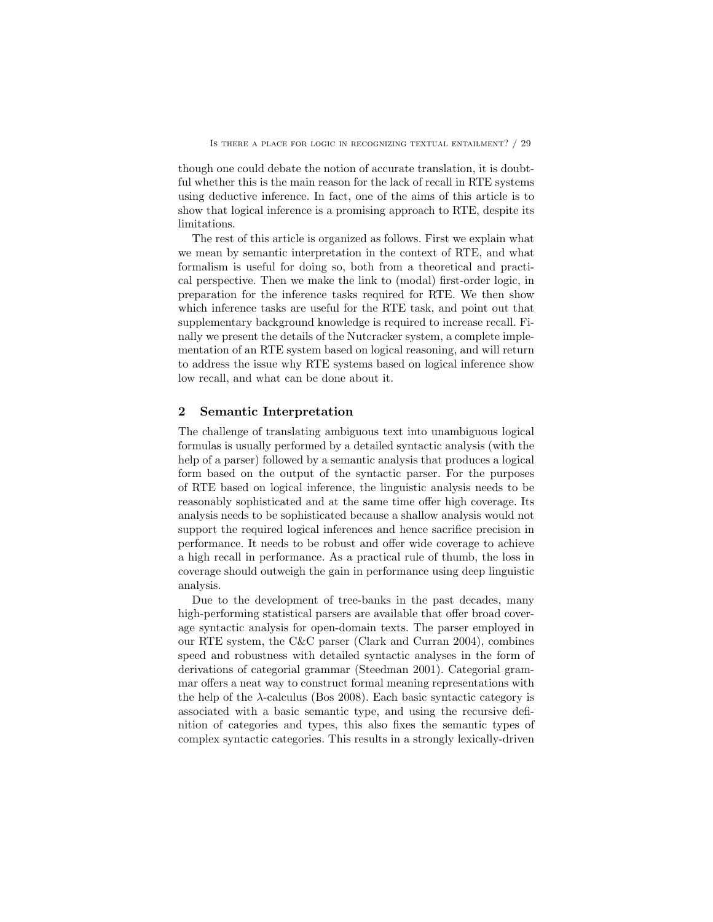though one could debate the notion of accurate translation, it is doubtful whether this is the main reason for the lack of recall in RTE systems using deductive inference. In fact, one of the aims of this article is to show that logical inference is a promising approach to RTE, despite its limitations.

The rest of this article is organized as follows. First we explain what we mean by semantic interpretation in the context of RTE, and what formalism is useful for doing so, both from a theoretical and practical perspective. Then we make the link to (modal) first-order logic, in preparation for the inference tasks required for RTE. We then show which inference tasks are useful for the RTE task, and point out that supplementary background knowledge is required to increase recall. Finally we present the details of the Nutcracker system, a complete implementation of an RTE system based on logical reasoning, and will return to address the issue why RTE systems based on logical inference show low recall, and what can be done about it.

## 2 Semantic Interpretation

The challenge of translating ambiguous text into unambiguous logical formulas is usually performed by a detailed syntactic analysis (with the help of a parser) followed by a semantic analysis that produces a logical form based on the output of the syntactic parser. For the purposes of RTE based on logical inference, the linguistic analysis needs to be reasonably sophisticated and at the same time offer high coverage. Its analysis needs to be sophisticated because a shallow analysis would not support the required logical inferences and hence sacrifice precision in performance. It needs to be robust and offer wide coverage to achieve a high recall in performance. As a practical rule of thumb, the loss in coverage should outweigh the gain in performance using deep linguistic analysis.

Due to the development of tree-banks in the past decades, many high-performing statistical parsers are available that offer broad coverage syntactic analysis for open-domain texts. The parser employed in our RTE system, the C&C parser (Clark and Curran 2004), combines speed and robustness with detailed syntactic analyses in the form of derivations of categorial grammar (Steedman 2001). Categorial grammar offers a neat way to construct formal meaning representations with the help of the  $\lambda$ -calculus (Bos 2008). Each basic syntactic category is associated with a basic semantic type, and using the recursive definition of categories and types, this also fixes the semantic types of complex syntactic categories. This results in a strongly lexically-driven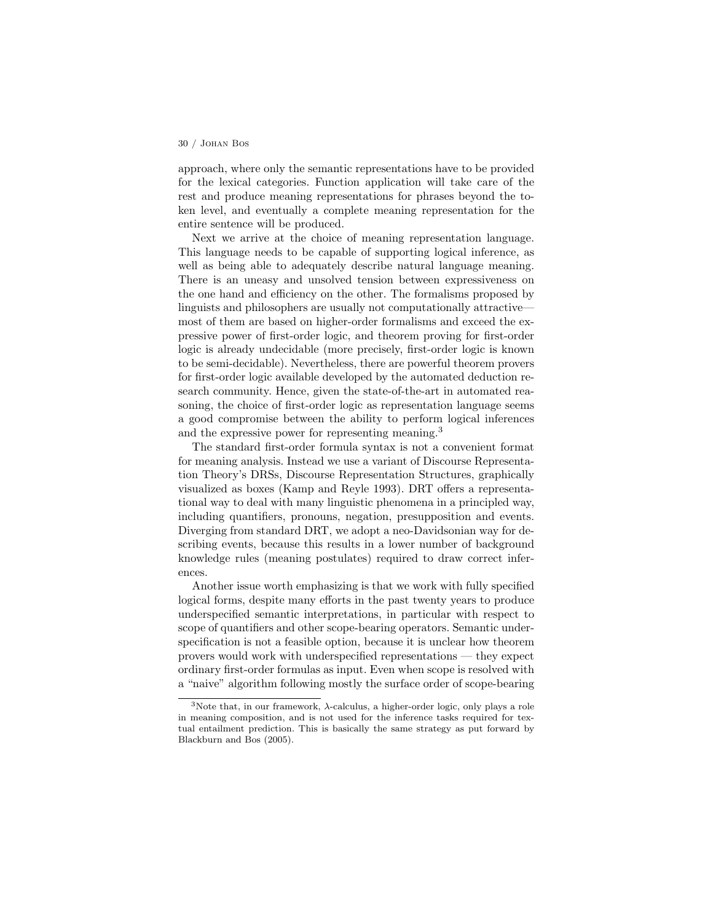approach, where only the semantic representations have to be provided for the lexical categories. Function application will take care of the rest and produce meaning representations for phrases beyond the token level, and eventually a complete meaning representation for the entire sentence will be produced.

Next we arrive at the choice of meaning representation language. This language needs to be capable of supporting logical inference, as well as being able to adequately describe natural language meaning. There is an uneasy and unsolved tension between expressiveness on the one hand and efficiency on the other. The formalisms proposed by linguists and philosophers are usually not computationally attractive most of them are based on higher-order formalisms and exceed the expressive power of first-order logic, and theorem proving for first-order logic is already undecidable (more precisely, first-order logic is known to be semi-decidable). Nevertheless, there are powerful theorem provers for first-order logic available developed by the automated deduction research community. Hence, given the state-of-the-art in automated reasoning, the choice of first-order logic as representation language seems a good compromise between the ability to perform logical inferences and the expressive power for representing meaning.<sup>3</sup>

The standard first-order formula syntax is not a convenient format for meaning analysis. Instead we use a variant of Discourse Representation Theory's DRSs, Discourse Representation Structures, graphically visualized as boxes (Kamp and Reyle 1993). DRT offers a representational way to deal with many linguistic phenomena in a principled way, including quantifiers, pronouns, negation, presupposition and events. Diverging from standard DRT, we adopt a neo-Davidsonian way for describing events, because this results in a lower number of background knowledge rules (meaning postulates) required to draw correct inferences.

Another issue worth emphasizing is that we work with fully specified logical forms, despite many efforts in the past twenty years to produce underspecified semantic interpretations, in particular with respect to scope of quantifiers and other scope-bearing operators. Semantic underspecification is not a feasible option, because it is unclear how theorem provers would work with underspecified representations — they expect ordinary first-order formulas as input. Even when scope is resolved with a "naive" algorithm following mostly the surface order of scope-bearing

 $3$ Note that, in our framework,  $\lambda$ -calculus, a higher-order logic, only plays a role in meaning composition, and is not used for the inference tasks required for textual entailment prediction. This is basically the same strategy as put forward by Blackburn and Bos (2005).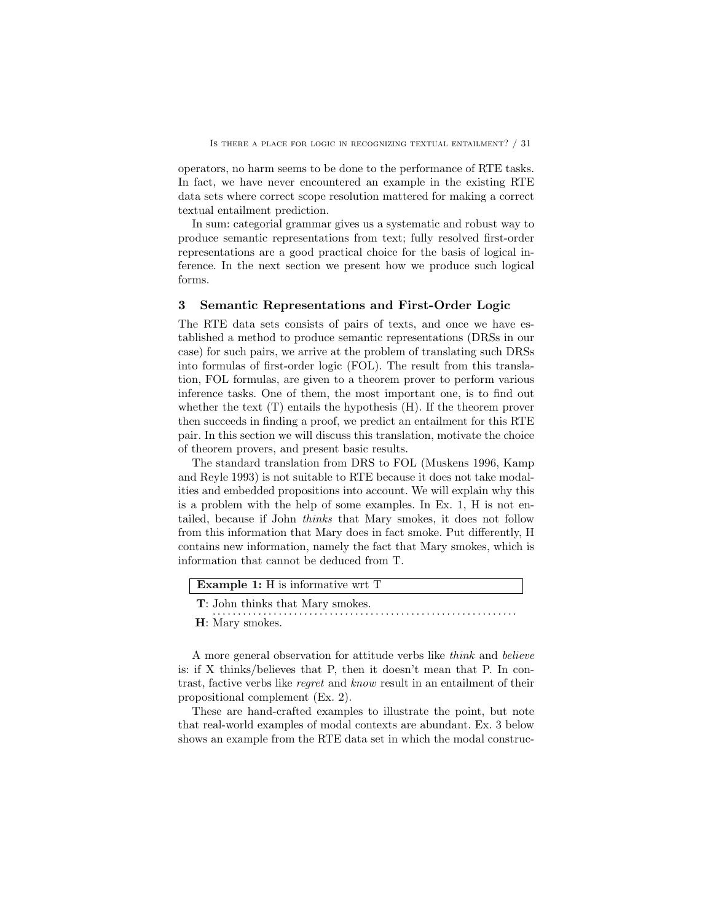operators, no harm seems to be done to the performance of RTE tasks. In fact, we have never encountered an example in the existing RTE data sets where correct scope resolution mattered for making a correct textual entailment prediction.

In sum: categorial grammar gives us a systematic and robust way to produce semantic representations from text; fully resolved first-order representations are a good practical choice for the basis of logical inference. In the next section we present how we produce such logical forms.

# 3 Semantic Representations and First-Order Logic

The RTE data sets consists of pairs of texts, and once we have established a method to produce semantic representations (DRSs in our case) for such pairs, we arrive at the problem of translating such DRSs into formulas of first-order logic (FOL). The result from this translation, FOL formulas, are given to a theorem prover to perform various inference tasks. One of them, the most important one, is to find out whether the text (T) entails the hypothesis (H). If the theorem prover then succeeds in finding a proof, we predict an entailment for this RTE pair. In this section we will discuss this translation, motivate the choice of theorem provers, and present basic results.

The standard translation from DRS to FOL (Muskens 1996, Kamp and Reyle 1993) is not suitable to RTE because it does not take modalities and embedded propositions into account. We will explain why this is a problem with the help of some examples. In Ex. 1, H is not entailed, because if John *thinks* that Mary smokes, it does not follow from this information that Mary does in fact smoke. Put differently, H contains new information, namely the fact that Mary smokes, which is information that cannot be deduced from T.

| <b>Example 1:</b> H is informative wrt $T$ |
|--------------------------------------------|
| <b>T</b> : John thinks that Mary smokes.   |

H: Mary smokes.

A more general observation for attitude verbs like *think* and *believe* is: if X thinks/believes that P, then it doesn't mean that P. In contrast, factive verbs like *regret* and *know* result in an entailment of their propositional complement (Ex. 2).

These are hand-crafted examples to illustrate the point, but note that real-world examples of modal contexts are abundant. Ex. 3 below shows an example from the RTE data set in which the modal construc-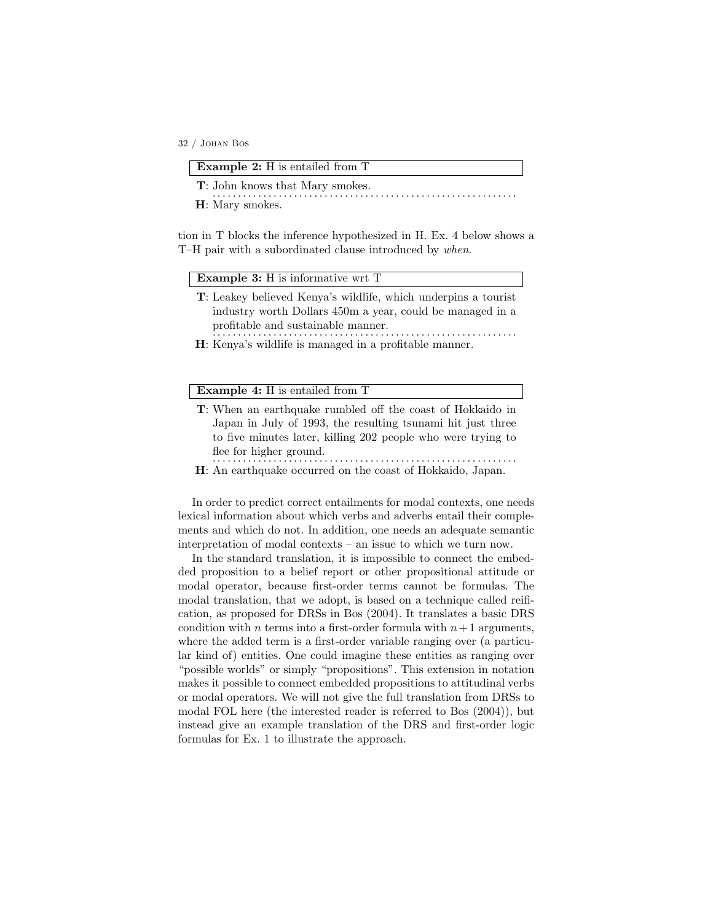32 / Johan Bos

 $\overline{\phantom{a}}$ 

| <b>Example 2:</b> H is entailed from T  |
|-----------------------------------------|
| <b>T</b> : John knows that Mary smokes. |
| <b>H</b> : Mary smokes.                 |

tion in T blocks the inference hypothesized in H. Ex. 4 below shows a T–H pair with a subordinated clause introduced by *when*.

| <b>Example 3:</b> H is informative wrt T                       |
|----------------------------------------------------------------|
| T: Leakey believed Kenya's wildlife, which underpins a tourist |
| industry worth Dollars 450m a year, could be managed in a      |
| profitable and sustainable manner.                             |
| <b>H</b> : Kenya's wildlife is managed in a profitable manner. |
|                                                                |

Example 4: H is entailed from T

- T: When an earthquake rumbled off the coast of Hokkaido in Japan in July of 1993, the resulting tsunami hit just three to five minutes later, killing 202 people who were trying to flee for higher ground. ............................................................
- H: An earthquake occurred on the coast of Hokkaido, Japan.

In order to predict correct entailments for modal contexts, one needs lexical information about which verbs and adverbs entail their complements and which do not. In addition, one needs an adequate semantic interpretation of modal contexts – an issue to which we turn now.

In the standard translation, it is impossible to connect the embedded proposition to a belief report or other propositional attitude or modal operator, because first-order terms cannot be formulas. The modal translation, that we adopt, is based on a technique called reification, as proposed for DRSs in Bos (2004). It translates a basic DRS condition with *n* terms into a first-order formula with  $n+1$  arguments, where the added term is a first-order variable ranging over (a particular kind of) entities. One could imagine these entities as ranging over "possible worlds" or simply "propositions". This extension in notation makes it possible to connect embedded propositions to attitudinal verbs or modal operators. We will not give the full translation from DRSs to modal FOL here (the interested reader is referred to Bos (2004)), but instead give an example translation of the DRS and first-order logic formulas for Ex. 1 to illustrate the approach.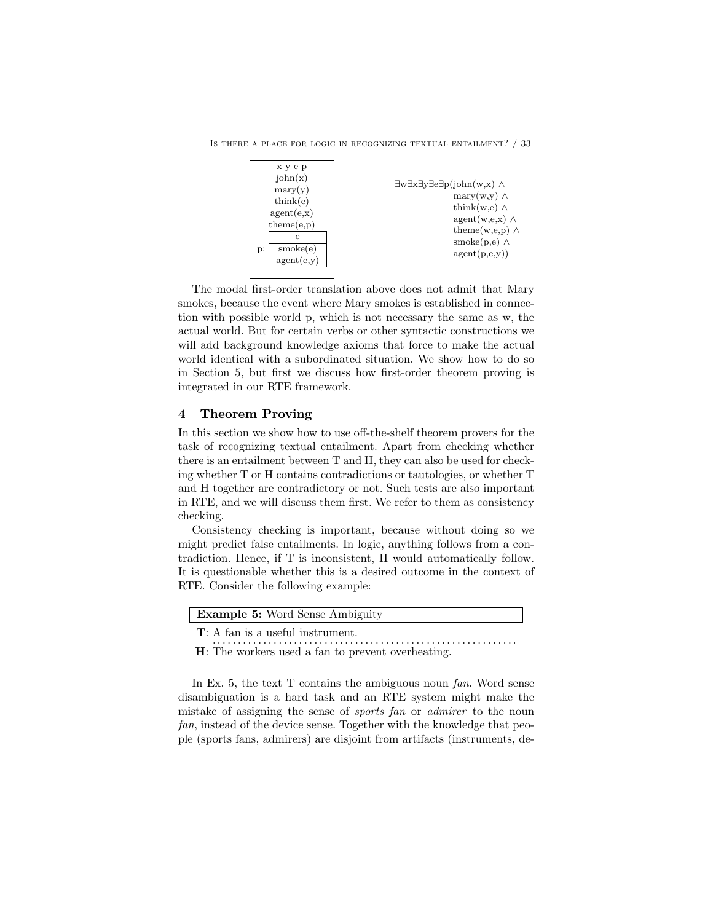Is there a place for logic in recognizing textual entailment? / 33



The modal first-order translation above does not admit that Mary smokes, because the event where Mary smokes is established in connection with possible world p, which is not necessary the same as w, the actual world. But for certain verbs or other syntactic constructions we will add background knowledge axioms that force to make the actual world identical with a subordinated situation. We show how to do so in Section 5, but first we discuss how first-order theorem proving is integrated in our RTE framework.

## 4 Theorem Proving

In this section we show how to use off-the-shelf theorem provers for the task of recognizing textual entailment. Apart from checking whether there is an entailment between T and H, they can also be used for checking whether T or H contains contradictions or tautologies, or whether T and H together are contradictory or not. Such tests are also important in RTE, and we will discuss them first. We refer to them as consistency checking.

Consistency checking is important, because without doing so we might predict false entailments. In logic, anything follows from a contradiction. Hence, if T is inconsistent, H would automatically follow. It is questionable whether this is a desired outcome in the context of RTE. Consider the following example:

| <b>Example 5:</b> Word Sense Ambiguity                                                                                     |  |
|----------------------------------------------------------------------------------------------------------------------------|--|
| $\mathbf{T}$ : A fan is a useful instrument.                                                                               |  |
| $\mathbf{r}$ , and it is a set of $\mathbf{r}$ , and $\mathbf{r}$ , and $\mathbf{r}$ , and $\mathbf{r}$ , and $\mathbf{r}$ |  |

H: The workers used a fan to prevent overheating.

In Ex. 5, the text T contains the ambiguous noun *fan*. Word sense disambiguation is a hard task and an RTE system might make the mistake of assigning the sense of *sports fan* or *admirer* to the noun *fan*, instead of the device sense. Together with the knowledge that people (sports fans, admirers) are disjoint from artifacts (instruments, de-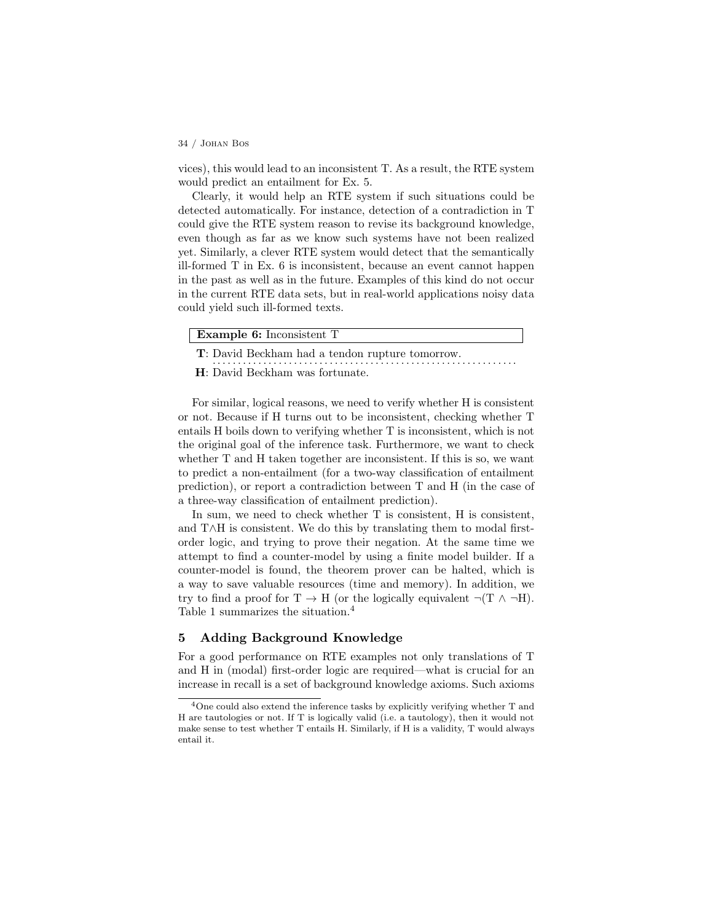vices), this would lead to an inconsistent T. As a result, the RTE system would predict an entailment for Ex. 5.

Clearly, it would help an RTE system if such situations could be detected automatically. For instance, detection of a contradiction in T could give the RTE system reason to revise its background knowledge, even though as far as we know such systems have not been realized yet. Similarly, a clever RTE system would detect that the semantically ill-formed T in Ex. 6 is inconsistent, because an event cannot happen in the past as well as in the future. Examples of this kind do not occur in the current RTE data sets, but in real-world applications noisy data could yield such ill-formed texts.

Example 6: Inconsistent T

T: David Beckham had a tendon rupture tomorrow.

H: David Beckham was fortunate.

For similar, logical reasons, we need to verify whether H is consistent or not. Because if H turns out to be inconsistent, checking whether T entails H boils down to verifying whether T is inconsistent, which is not the original goal of the inference task. Furthermore, we want to check whether T and H taken together are inconsistent. If this is so, we want to predict a non-entailment (for a two-way classification of entailment prediction), or report a contradiction between T and H (in the case of a three-way classification of entailment prediction).

In sum, we need to check whether T is consistent, H is consistent, and  $T\wedge H$  is consistent. We do this by translating them to modal firstorder logic, and trying to prove their negation. At the same time we attempt to find a counter-model by using a finite model builder. If a counter-model is found, the theorem prover can be halted, which is a way to save valuable resources (time and memory). In addition, we try to find a proof for  $T \to H$  (or the logically equivalent  $\neg(T \wedge \neg H)$ ). Table 1 summarizes the situation.<sup>4</sup>

# 5 Adding Background Knowledge

For a good performance on RTE examples not only translations of T and H in (modal) first-order logic are required—what is crucial for an increase in recall is a set of background knowledge axioms. Such axioms

 $4$ One could also extend the inference tasks by explicitly verifying whether T and H are tautologies or not. If T is logically valid (i.e. a tautology), then it would not make sense to test whether T entails H. Similarly, if H is a validity, T would always entail it.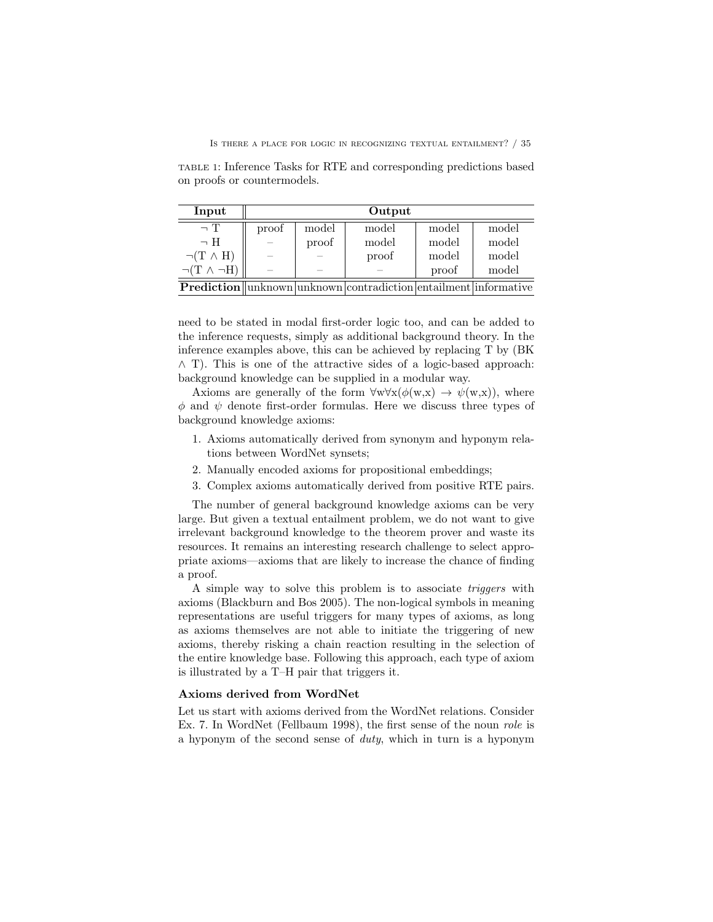TABLE 1: Inference Tasks for RTE and corresponding predictions based on proofs or countermodels.

| Input                   | Output |       |                                                                        |       |       |
|-------------------------|--------|-------|------------------------------------------------------------------------|-------|-------|
| $\neg$ T                | proof  | model | model                                                                  | model | model |
| $\neg$ H                |        | proof | model                                                                  | model | model |
| $\neg(T \wedge H)$      |        |       | proof                                                                  | model | model |
| $\neg(T \wedge \neg H)$ |        |       |                                                                        | proof | model |
|                         |        |       | <b>Prediction</b> unknown unknown contradiction entailment informative |       |       |

need to be stated in modal first-order logic too, and can be added to the inference requests, simply as additional background theory. In the inference examples above, this can be achieved by replacing T by (BK  $\wedge$  T). This is one of the attractive sides of a logic-based approach: background knowledge can be supplied in a modular way.

Axioms are generally of the form  $\forall w \forall x (\phi(w,x) \rightarrow \psi(w,x))$ , where  $\phi$  and  $\psi$  denote first-order formulas. Here we discuss three types of background knowledge axioms:

- 1. Axioms automatically derived from synonym and hyponym relations between WordNet synsets;
- 2. Manually encoded axioms for propositional embeddings;
- 3. Complex axioms automatically derived from positive RTE pairs.

The number of general background knowledge axioms can be very large. But given a textual entailment problem, we do not want to give irrelevant background knowledge to the theorem prover and waste its resources. It remains an interesting research challenge to select appropriate axioms—axioms that are likely to increase the chance of finding a proof.

A simple way to solve this problem is to associate *triggers* with axioms (Blackburn and Bos 2005). The non-logical symbols in meaning representations are useful triggers for many types of axioms, as long as axioms themselves are not able to initiate the triggering of new axioms, thereby risking a chain reaction resulting in the selection of the entire knowledge base. Following this approach, each type of axiom is illustrated by a T–H pair that triggers it.

#### Axioms derived from WordNet

Let us start with axioms derived from the WordNet relations. Consider Ex. 7. In WordNet (Fellbaum 1998), the first sense of the noun *role* is a hyponym of the second sense of *duty*, which in turn is a hyponym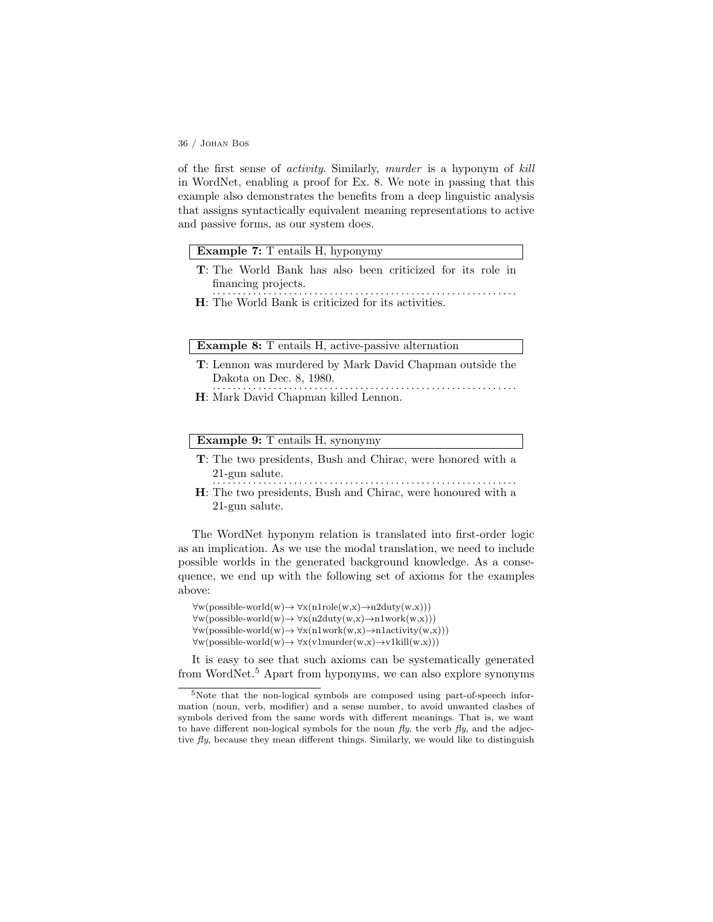of the first sense of *activity*. Similarly, *murder* is a hyponym of *kill* in WordNet, enabling a proof for Ex. 8. We note in passing that this example also demonstrates the benefits from a deep linguistic analysis that assigns syntactically equivalent meaning representations to active and passive forms, as our system does.

| <b>Example 7:</b> T entails H, hyponymy                                                                                                              |
|------------------------------------------------------------------------------------------------------------------------------------------------------|
| <b>T</b> : The World Bank has also been criticized for its role in<br>financing projects.<br>$H1$ . The World Bank is criticized for its activities. |
| <b>Example 8:</b> T entails H, active-passive alternation                                                                                            |
| <b>T</b> : Lennon was murdered by Mark David Chapman outside the<br>Dakota on Dec. 8, 1980.<br><b>H</b> : Mark David Chapman killed Lennon.          |

| <b>Example 9:</b> T entails H, synonymy |  |  |  |  |
|-----------------------------------------|--|--|--|--|
|-----------------------------------------|--|--|--|--|

- T: The two presidents, Bush and Chirac, were honored with a 21-gun salute. ............................................................
- H: The two presidents, Bush and Chirac, were honoured with a 21-gun salute.

The WordNet hyponym relation is translated into first-order logic as an implication. As we use the modal translation, we need to include possible worlds in the generated background knowledge. As a consequence, we end up with the following set of axioms for the examples above:

```
\forall w(posisible-world(w) \rightarrow \forall x(n1role(w,x) \rightarrow n2duty(w,x)))\forall w(possible-wordd(w) \rightarrow \forall x(n2duty(w,x) \rightarrow n1work(w,x)))\forall w(\text{possible-world}(w) \rightarrow \forall x(n1work(w,x) \rightarrow n1activity(w,x)))\forall w(possible-world(w) \rightarrow \forall x(v1murder(w,x) \rightarrow v1kill(w,x)))
```
It is easy to see that such axioms can be systematically generated from WordNet.<sup>5</sup> Apart from hyponyms, we can also explore synonyms

<sup>5</sup>Note that the non-logical symbols are composed using part-of-speech information (noun, verb, modifier) and a sense number, to avoid unwanted clashes of symbols derived from the same words with different meanings. That is, we want to have different non-logical symbols for the noun  $fly$ , the verb  $fly$ , and the adjective  $fly$ , because they mean different things. Similarly, we would like to distinguish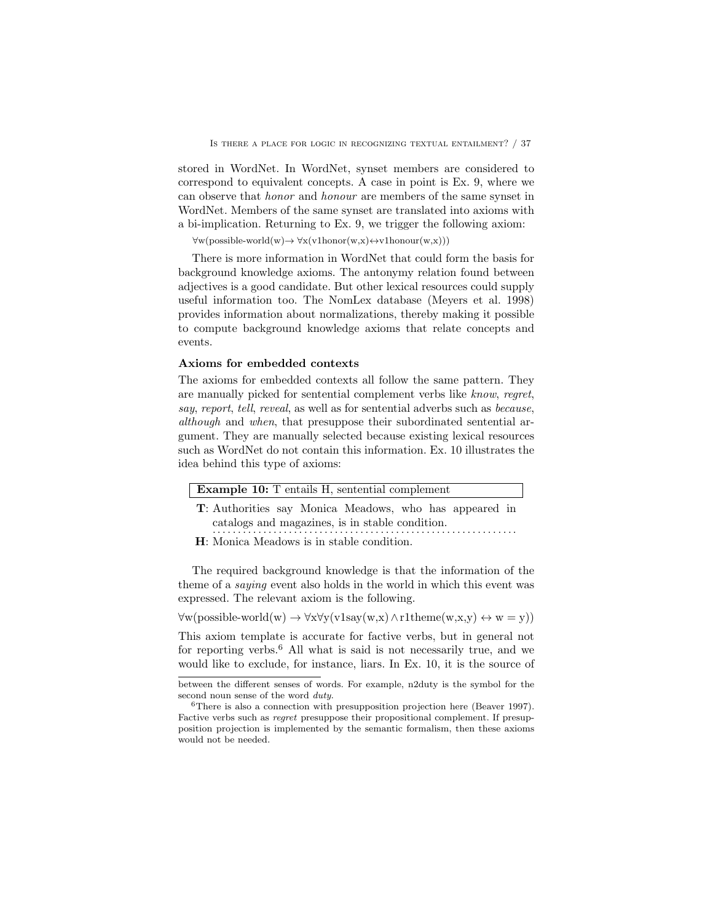stored in WordNet. In WordNet, synset members are considered to correspond to equivalent concepts. A case in point is Ex. 9, where we can observe that *honor* and *honour* are members of the same synset in WordNet. Members of the same synset are translated into axioms with a bi-implication. Returning to Ex. 9, we trigger the following axiom:

 $\forall w(possible-wordd(w) \rightarrow \forall x(v1honor(w,x) \leftrightarrow v1honour(w,x)))$ 

There is more information in WordNet that could form the basis for background knowledge axioms. The antonymy relation found between adjectives is a good candidate. But other lexical resources could supply useful information too. The NomLex database (Meyers et al. 1998) provides information about normalizations, thereby making it possible to compute background knowledge axioms that relate concepts and events.

## Axioms for embedded contexts

The axioms for embedded contexts all follow the same pattern. They are manually picked for sentential complement verbs like *know*, *regret*, *say*, *report*, *tell*, *reveal*, as well as for sentential adverbs such as *because*, *although* and *when*, that presuppose their subordinated sentential argument. They are manually selected because existing lexical resources such as WordNet do not contain this information. Ex. 10 illustrates the idea behind this type of axioms:

| <b>Example 10:</b> T entails H, sentential complement                                                                                                          |  |  |  |
|----------------------------------------------------------------------------------------------------------------------------------------------------------------|--|--|--|
| T: Authorities say Monica Meadows, who has appeared in<br>catalogs and magazines, is in stable condition.<br><b>H</b> : Monica Meadows is in stable condition. |  |  |  |
|                                                                                                                                                                |  |  |  |

The required background knowledge is that the information of the theme of a *saying* event also holds in the world in which this event was expressed. The relevant axiom is the following.

 $\forall w(\text{possible-world}(w) \rightarrow \forall x \forall y(v1say(w,x) \land r1theme(w,x,y) \leftrightarrow w = y))$ 

This axiom template is accurate for factive verbs, but in general not for reporting verbs.<sup>6</sup> All what is said is not necessarily true, and we would like to exclude, for instance, liars. In Ex. 10, it is the source of

between the different senses of words. For example, n2duty is the symbol for the second noun sense of the word *duty*.

<sup>6</sup>There is also a connection with presupposition projection here (Beaver 1997). Factive verbs such as *regret* presuppose their propositional complement. If presupposition projection is implemented by the semantic formalism, then these axioms would not be needed.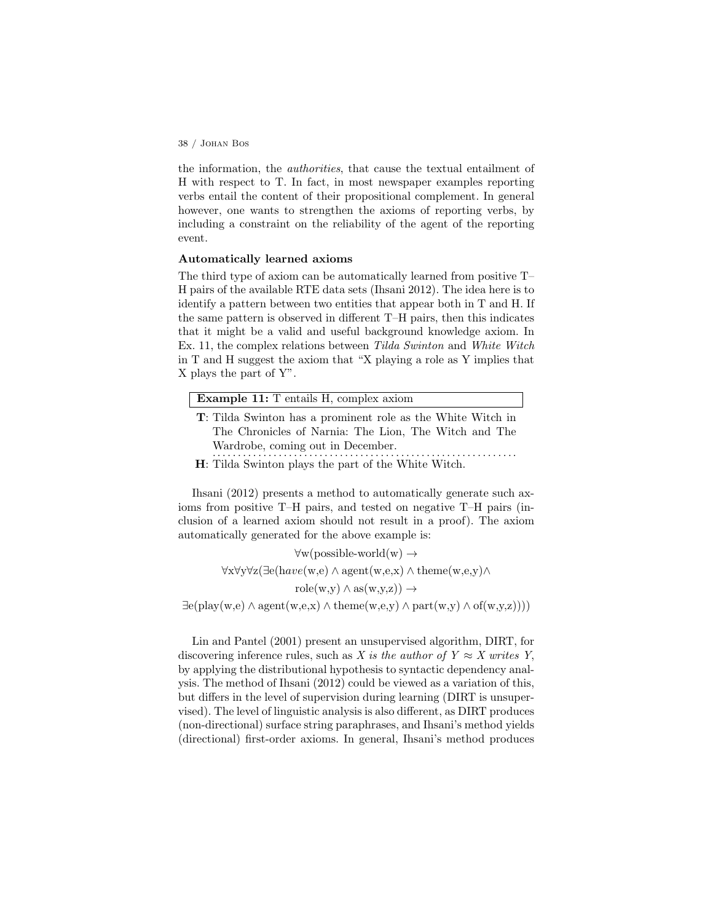the information, the *authorities*, that cause the textual entailment of H with respect to T. In fact, in most newspaper examples reporting verbs entail the content of their propositional complement. In general however, one wants to strengthen the axioms of reporting verbs, by including a constraint on the reliability of the agent of the reporting event.

## Automatically learned axioms

The third type of axiom can be automatically learned from positive T– H pairs of the available RTE data sets (Ihsani 2012). The idea here is to identify a pattern between two entities that appear both in T and H. If the same pattern is observed in different  $T-H$  pairs, then this indicates that it might be a valid and useful background knowledge axiom. In Ex. 11, the complex relations between *Tilda Swinton* and *White Witch* in T and H suggest the axiom that "X playing a role as Y implies that X plays the part of Y".

#### Example 11: T entails H, complex axiom

- T: Tilda Swinton has a prominent role as the White Witch in The Chronicles of Narnia: The Lion, The Witch and The Wardrobe, coming out in December. ............................................................
- H: Tilda Swinton plays the part of the White Witch.

Ihsani (2012) presents a method to automatically generate such axioms from positive T–H pairs, and tested on negative T–H pairs (inclusion of a learned axiom should not result in a proof). The axiom automatically generated for the above example is:

 $\forall w(possible-world(w) \rightarrow$  $\forall x \forall y \forall z (\exists e(have(w,e) \land agent(w,e,x) \land them(w,e,y) \land$  $role(w,y) \land as(w,y,z)) \rightarrow$  $\exists e(\text{play}(w,e) \land agent(w,e,x) \land theme(w,e,y) \land part(w,y) \land of(w,y,z))))$ 

Lin and Pantel (2001) present an unsupervised algorithm, DIRT, for discovering inference rules, such as *X is the author of*  $Y \approx X$  writes *Y*, by applying the distributional hypothesis to syntactic dependency analysis. The method of Ihsani (2012) could be viewed as a variation of this, but differs in the level of supervision during learning (DIRT is unsupervised). The level of linguistic analysis is also different, as DIRT produces (non-directional) surface string paraphrases, and Ihsani's method yields (directional) first-order axioms. In general, Ihsani's method produces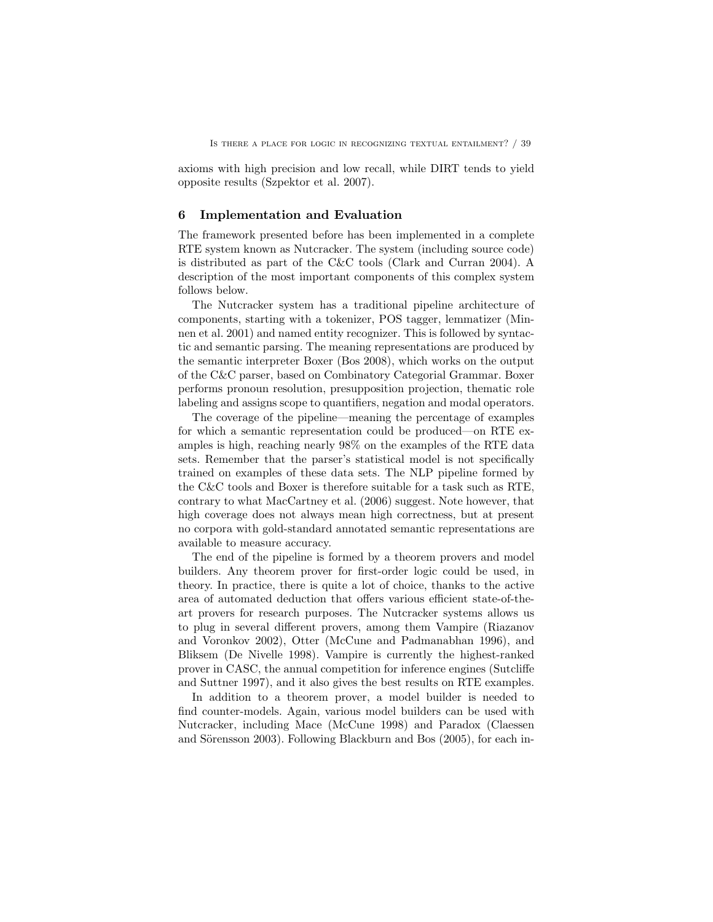axioms with high precision and low recall, while DIRT tends to yield opposite results (Szpektor et al. 2007).

## 6 Implementation and Evaluation

The framework presented before has been implemented in a complete RTE system known as Nutcracker. The system (including source code) is distributed as part of the C&C tools (Clark and Curran 2004). A description of the most important components of this complex system follows below.

The Nutcracker system has a traditional pipeline architecture of components, starting with a tokenizer, POS tagger, lemmatizer (Minnen et al. 2001) and named entity recognizer. This is followed by syntactic and semantic parsing. The meaning representations are produced by the semantic interpreter Boxer (Bos 2008), which works on the output of the C&C parser, based on Combinatory Categorial Grammar. Boxer performs pronoun resolution, presupposition projection, thematic role labeling and assigns scope to quantifiers, negation and modal operators.

The coverage of the pipeline—meaning the percentage of examples for which a semantic representation could be produced—on RTE examples is high, reaching nearly 98% on the examples of the RTE data sets. Remember that the parser's statistical model is not specifically trained on examples of these data sets. The NLP pipeline formed by the C&C tools and Boxer is therefore suitable for a task such as RTE, contrary to what MacCartney et al. (2006) suggest. Note however, that high coverage does not always mean high correctness, but at present no corpora with gold-standard annotated semantic representations are available to measure accuracy.

The end of the pipeline is formed by a theorem provers and model builders. Any theorem prover for first-order logic could be used, in theory. In practice, there is quite a lot of choice, thanks to the active area of automated deduction that offers various efficient state-of-theart provers for research purposes. The Nutcracker systems allows us to plug in several different provers, among them Vampire (Riazanov and Voronkov 2002), Otter (McCune and Padmanabhan 1996), and Bliksem (De Nivelle 1998). Vampire is currently the highest-ranked prover in CASC, the annual competition for inference engines (Sutcliffe and Suttner 1997), and it also gives the best results on RTE examples.

In addition to a theorem prover, a model builder is needed to find counter-models. Again, various model builders can be used with Nutcracker, including Mace (McCune 1998) and Paradox (Claessen and Sörensson 2003). Following Blackburn and Bos (2005), for each in-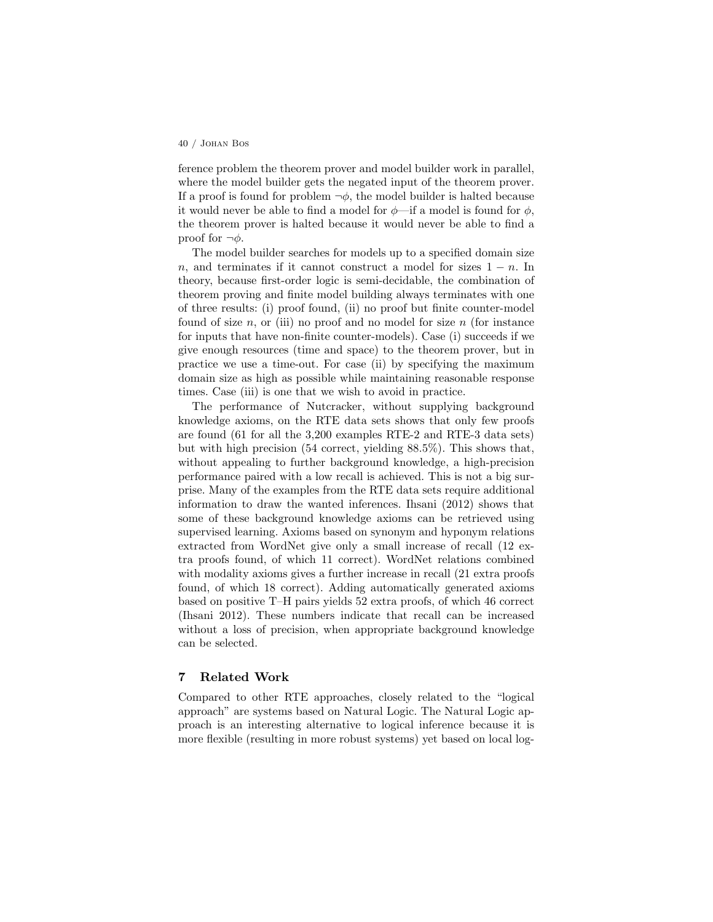ference problem the theorem prover and model builder work in parallel, where the model builder gets the negated input of the theorem prover. If a proof is found for problem  $\neg \phi$ , the model builder is halted because it would never be able to find a model for  $\phi$ —if a model is found for  $\phi$ , the theorem prover is halted because it would never be able to find a proof for  $\neg \phi$ .

The model builder searches for models up to a specified domain size *n*, and terminates if it cannot construct a model for sizes  $1 - n$ . In theory, because first-order logic is semi-decidable, the combination of theorem proving and finite model building always terminates with one of three results: (i) proof found, (ii) no proof but finite counter-model found of size *n*, or (iii) no proof and no model for size *n* (for instance for inputs that have non-finite counter-models). Case (i) succeeds if we give enough resources (time and space) to the theorem prover, but in practice we use a time-out. For case (ii) by specifying the maximum domain size as high as possible while maintaining reasonable response times. Case (iii) is one that we wish to avoid in practice.

The performance of Nutcracker, without supplying background knowledge axioms, on the RTE data sets shows that only few proofs are found (61 for all the 3,200 examples RTE-2 and RTE-3 data sets) but with high precision (54 correct, yielding 88.5%). This shows that, without appealing to further background knowledge, a high-precision performance paired with a low recall is achieved. This is not a big surprise. Many of the examples from the RTE data sets require additional information to draw the wanted inferences. Ihsani (2012) shows that some of these background knowledge axioms can be retrieved using supervised learning. Axioms based on synonym and hyponym relations extracted from WordNet give only a small increase of recall (12 extra proofs found, of which 11 correct). WordNet relations combined with modality axioms gives a further increase in recall  $(21 \text{ extra proofs})$ found, of which 18 correct). Adding automatically generated axioms based on positive T–H pairs yields 52 extra proofs, of which 46 correct (Ihsani 2012). These numbers indicate that recall can be increased without a loss of precision, when appropriate background knowledge can be selected.

## 7 Related Work

Compared to other RTE approaches, closely related to the "logical approach" are systems based on Natural Logic. The Natural Logic approach is an interesting alternative to logical inference because it is more flexible (resulting in more robust systems) yet based on local log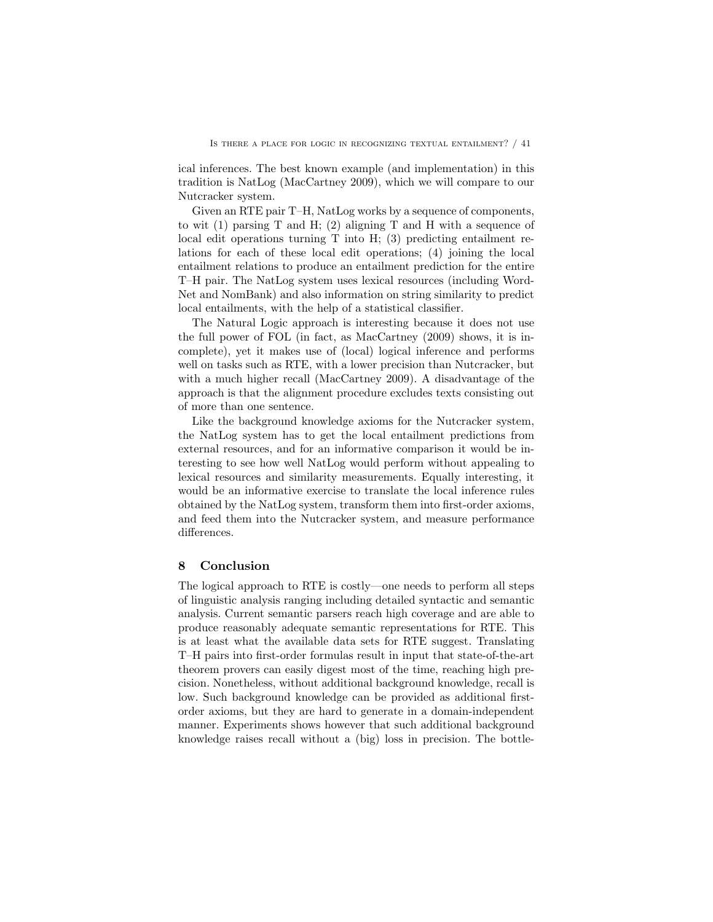ical inferences. The best known example (and implementation) in this tradition is NatLog (MacCartney 2009), which we will compare to our Nutcracker system.

Given an RTE pair T–H, NatLog works by a sequence of components, to wit (1) parsing T and H; (2) aligning T and H with a sequence of local edit operations turning T into H; (3) predicting entailment relations for each of these local edit operations; (4) joining the local entailment relations to produce an entailment prediction for the entire T–H pair. The NatLog system uses lexical resources (including Word-Net and NomBank) and also information on string similarity to predict local entailments, with the help of a statistical classifier.

The Natural Logic approach is interesting because it does not use the full power of FOL (in fact, as MacCartney (2009) shows, it is incomplete), yet it makes use of (local) logical inference and performs well on tasks such as RTE, with a lower precision than Nutcracker, but with a much higher recall (MacCartney 2009). A disadvantage of the approach is that the alignment procedure excludes texts consisting out of more than one sentence.

Like the background knowledge axioms for the Nutcracker system, the NatLog system has to get the local entailment predictions from external resources, and for an informative comparison it would be interesting to see how well NatLog would perform without appealing to lexical resources and similarity measurements. Equally interesting, it would be an informative exercise to translate the local inference rules obtained by the NatLog system, transform them into first-order axioms, and feed them into the Nutcracker system, and measure performance differences.

# 8 Conclusion

The logical approach to RTE is costly—one needs to perform all steps of linguistic analysis ranging including detailed syntactic and semantic analysis. Current semantic parsers reach high coverage and are able to produce reasonably adequate semantic representations for RTE. This is at least what the available data sets for RTE suggest. Translating T–H pairs into first-order formulas result in input that state-of-the-art theorem provers can easily digest most of the time, reaching high precision. Nonetheless, without additional background knowledge, recall is low. Such background knowledge can be provided as additional firstorder axioms, but they are hard to generate in a domain-independent manner. Experiments shows however that such additional background knowledge raises recall without a (big) loss in precision. The bottle-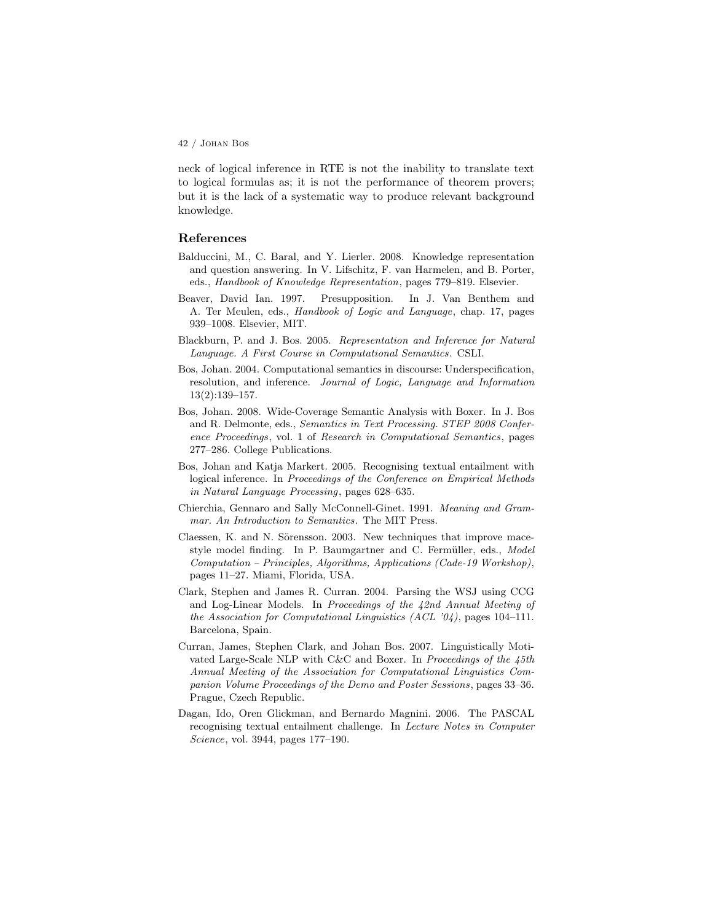neck of logical inference in RTE is not the inability to translate text to logical formulas as; it is not the performance of theorem provers; but it is the lack of a systematic way to produce relevant background knowledge.

#### References

- Balduccini, M., C. Baral, and Y. Lierler. 2008. Knowledge representation and question answering. In V. Lifschitz, F. van Harmelen, and B. Porter, eds., *Handbook of Knowledge Representation*, pages 779–819. Elsevier.
- Beaver, David Ian. 1997. Presupposition. In J. Van Benthem and A. Ter Meulen, eds., *Handbook of Logic and Language*, chap. 17, pages 939–1008. Elsevier, MIT.
- Blackburn, P. and J. Bos. 2005. *Representation and Inference for Natural Language. A First Course in Computational Semantics*. CSLI.
- Bos, Johan. 2004. Computational semantics in discourse: Underspecification, resolution, and inference. *Journal of Logic, Language and Information* 13(2):139–157.
- Bos, Johan. 2008. Wide-Coverage Semantic Analysis with Boxer. In J. Bos and R. Delmonte, eds., *Semantics in Text Processing. STEP 2008 Conference Proceedings*, vol. 1 of *Research in Computational Semantics*, pages 277–286. College Publications.
- Bos, Johan and Katja Markert. 2005. Recognising textual entailment with logical inference. In *Proceedings of the Conference on Empirical Methods in Natural Language Processing*, pages 628–635.
- Chierchia, Gennaro and Sally McConnell-Ginet. 1991. *Meaning and Grammar. An Introduction to Semantics*. The MIT Press.
- Claessen, K. and N. Sörensson. 2003. New techniques that improve macestyle model finding. In P. Baumgartner and C. Fermüller, eds., *Model Computation – Principles, Algorithms, Applications (Cade-19 Workshop)*, pages 11–27. Miami, Florida, USA.
- Clark, Stephen and James R. Curran. 2004. Parsing the WSJ using CCG and Log-Linear Models. In *Proceedings of the 42nd Annual Meeting of the Association for Computational Linguistics (ACL '04)*, pages 104–111. Barcelona, Spain.
- Curran, James, Stephen Clark, and Johan Bos. 2007. Linguistically Motivated Large-Scale NLP with C&C and Boxer. In *Proceedings of the 45th Annual Meeting of the Association for Computational Linguistics Companion Volume Proceedings of the Demo and Poster Sessions*, pages 33–36. Prague, Czech Republic.
- Dagan, Ido, Oren Glickman, and Bernardo Magnini. 2006. The PASCAL recognising textual entailment challenge. In *Lecture Notes in Computer Science*, vol. 3944, pages 177–190.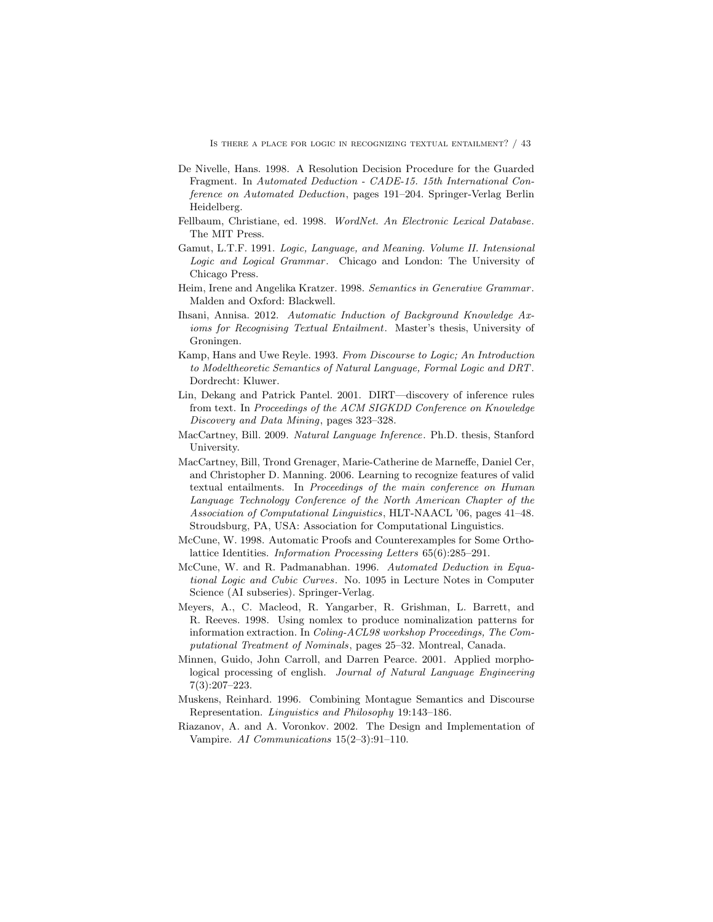- De Nivelle, Hans. 1998. A Resolution Decision Procedure for the Guarded Fragment. In *Automated Deduction - CADE-15. 15th International Conference on Automated Deduction*, pages 191–204. Springer-Verlag Berlin Heidelberg.
- Fellbaum, Christiane, ed. 1998. *WordNet. An Electronic Lexical Database*. The MIT Press.
- Gamut, L.T.F. 1991. *Logic, Language, and Meaning. Volume II. Intensional Logic and Logical Grammar* . Chicago and London: The University of Chicago Press.
- Heim, Irene and Angelika Kratzer. 1998. *Semantics in Generative Grammar*. Malden and Oxford: Blackwell.
- Ihsani, Annisa. 2012. *Automatic Induction of Background Knowledge Axioms for Recognising Textual Entailment*. Master's thesis, University of Groningen.
- Kamp, Hans and Uwe Reyle. 1993. *From Discourse to Logic; An Introduction to Modeltheoretic Semantics of Natural Language, Formal Logic and DRT*. Dordrecht: Kluwer.
- Lin, Dekang and Patrick Pantel. 2001. DIRT—discovery of inference rules from text. In *Proceedings of the ACM SIGKDD Conference on Knowledge Discovery and Data Mining*, pages 323–328.
- MacCartney, Bill. 2009. *Natural Language Inference*. Ph.D. thesis, Stanford University.
- MacCartney, Bill, Trond Grenager, Marie-Catherine de Marneffe, Daniel Cer, and Christopher D. Manning. 2006. Learning to recognize features of valid textual entailments. In *Proceedings of the main conference on Human Language Technology Conference of the North American Chapter of the Association of Computational Linguistics*, HLT-NAACL '06, pages 41–48. Stroudsburg, PA, USA: Association for Computational Linguistics.
- McCune, W. 1998. Automatic Proofs and Counterexamples for Some Ortholattice Identities. *Information Processing Letters* 65(6):285–291.
- McCune, W. and R. Padmanabhan. 1996. *Automated Deduction in Equational Logic and Cubic Curves*. No. 1095 in Lecture Notes in Computer Science (AI subseries). Springer-Verlag.
- Meyers, A., C. Macleod, R. Yangarber, R. Grishman, L. Barrett, and R. Reeves. 1998. Using nomlex to produce nominalization patterns for information extraction. In *Coling-ACL98 workshop Proceedings, The Computational Treatment of Nominals*, pages 25–32. Montreal, Canada.
- Minnen, Guido, John Carroll, and Darren Pearce. 2001. Applied morphological processing of english. *Journal of Natural Language Engineering* 7(3):207–223.
- Muskens, Reinhard. 1996. Combining Montague Semantics and Discourse Representation. *Linguistics and Philosophy* 19:143–186.
- Riazanov, A. and A. Voronkov. 2002. The Design and Implementation of Vampire. *AI Communications* 15(2–3):91–110.